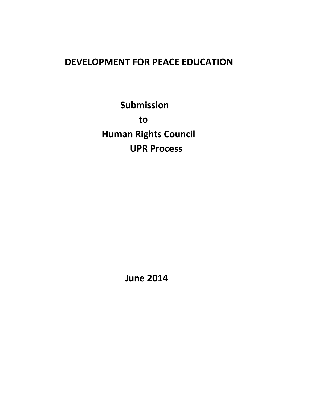# **DEVELOPMENT FOR PEACE EDUCATION**

**Submission to Human Rights Council UPR Process**

 **June 2014**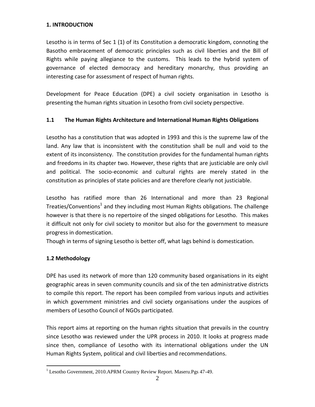### **1. INTRODUCTION**

Lesotho is in terms of Sec 1 (1) of its Constitution a democratic kingdom, connoting the Basotho embracement of democratic principles such as civil liberties and the Bill of Rights while paying allegiance to the customs. This leads to the hybrid system of governance of elected democracy and hereditary monarchy, thus providing an interesting case for assessment of respect of human rights.

Development for Peace Education (DPE) a civil society organisation in Lesotho is presenting the human rights situation in Lesotho from civil society perspective.

## **1.1 The Human Rights Architecture and International Human Rights Obligations**

Lesotho has a constitution that was adopted in 1993 and this is the supreme law of the land. Any law that is inconsistent with the constitution shall be null and void to the extent of its inconsistency. The constitution provides for the fundamental human rights and freedoms in its chapter two. However, these rights that are justiciable are only civil and political. The socio-economic and cultural rights are merely stated in the constitution as principles of state policies and are therefore clearly not justiciable.

Lesotho has ratified more than 26 International and more than 23 Regional Treaties/Conventions<sup>1</sup> and they including most Human Rights obligations. The challenge however is that there is no repertoire of the singed obligations for Lesotho. This makes it difficult not only for civil society to monitor but also for the government to measure progress in domestication.

Though in terms of signing Lesotho is better off, what lags behind is domestication.

## **1.2 Methodology**

 $\overline{a}$ 

DPE has used its network of more than 120 community based organisations in its eight geographic areas in seven community councils and six of the ten administrative districts to compile this report. The report has been compiled from various inputs and activities in which government ministries and civil society organisations under the auspices of members of Lesotho Council of NGOs participated.

This report aims at reporting on the human rights situation that prevails in the country since Lesotho was reviewed under the UPR process in 2010. It looks at progress made since then, compliance of Lesotho with its international obligations under the UN Human Rights System, political and civil liberties and recommendations.

 $1$  Lesotho Government, 2010.APRM Country Review Report. Maseru.Pgs 47-49.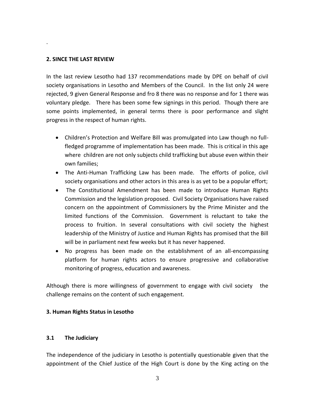#### **2. SINCE THE LAST REVIEW**

.

In the last review Lesotho had 137 recommendations made by DPE on behalf of civil society organisations in Lesotho and Members of the Council. In the list only 24 were rejected, 9 given General Response and fro 8 there was no response and for 1 there was voluntary pledge. There has been some few signings in this period. Though there are some points implemented, in general terms there is poor performance and slight progress in the respect of human rights.

- Children's Protection and Welfare Bill was promulgated into Law though no fullfledged programme of implementation has been made. This is critical in this age where children are not only subjects child trafficking but abuse even within their own families;
- The Anti-Human Trafficking Law has been made. The efforts of police, civil society organisations and other actors in this area is as yet to be a popular effort;
- The Constitutional Amendment has been made to introduce Human Rights Commission and the legislation proposed. Civil Society Organisations have raised concern on the appointment of Commissioners by the Prime Minister and the limited functions of the Commission. Government is reluctant to take the process to fruition. In several consultations with civil society the highest leadership of the Ministry of Justice and Human Rights has promised that the Bill will be in parliament next few weeks but it has never happened.
- No progress has been made on the establishment of an all-encompassing platform for human rights actors to ensure progressive and collaborative monitoring of progress, education and awareness.

Although there is more willingness of government to engage with civil society the challenge remains on the content of such engagement.

#### **3. Human Rights Status in Lesotho**

#### **3.1 The Judiciary**

The independence of the judiciary in Lesotho is potentially questionable given that the appointment of the Chief Justice of the High Court is done by the King acting on the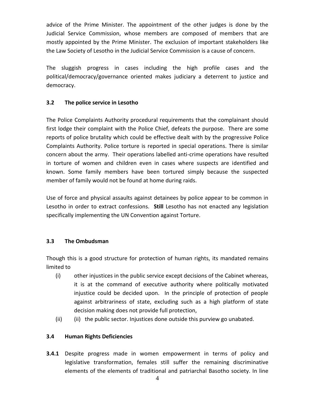advice of the Prime Minister. The appointment of the other judges is done by the Judicial Service Commission, whose members are composed of members that are mostly appointed by the Prime Minister. The exclusion of important stakeholders like the Law Society of Lesotho in the Judicial Service Commission is a cause of concern.

The sluggish progress in cases including the high profile cases and the political/democracy/governance oriented makes judiciary a deterrent to justice and democracy.

## **3.2 The police service in Lesotho**

The Police Complaints Authority procedural requirements that the complainant should first lodge their complaint with the Police Chief, defeats the purpose. There are some reports of police brutality which could be effective dealt with by the progressive Police Complaints Authority. Police torture is reported in special operations. There is similar concern about the army. Their operations labelled anti-crime operations have resulted in torture of women and children even in cases where suspects are identified and known. Some family members have been tortured simply because the suspected member of family would not be found at home during raids.

Use of force and physical assaults against detainees by police appear to be common in Lesotho in order to extract confessions. **Still** Lesotho has not enacted any legislation specifically implementing the UN Convention against Torture.

## **3.3 The Ombudsman**

Though this is a good structure for protection of human rights, its mandated remains limited to

- (i) other injustices in the public service except decisions of the Cabinet whereas, it is at the command of executive authority where politically motivated injustice could be decided upon. In the principle of protection of people against arbitrariness of state, excluding such as a high platform of state decision making does not provide full protection,
- (ii) (ii) the public sector. Injustices done outside this purview go unabated.

## **3.4 Human Rights Deficiencies**

**3.4.1** Despite progress made in women empowerment in terms of policy and legislative transformation, females still suffer the remaining discriminative elements of the elements of traditional and patriarchal Basotho society. In line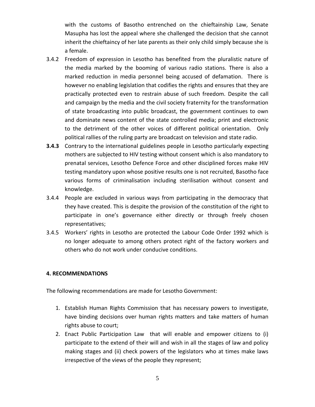with the customs of Basotho entrenched on the chieftainship Law, Senate Masupha has lost the appeal where she challenged the decision that she cannot inherit the chieftaincy of her late parents as their only child simply because she is a female.

- 3.4.2 Freedom of expression in Lesotho has benefited from the pluralistic nature of the media marked by the booming of various radio stations. There is also a marked reduction in media personnel being accused of defamation. There is however no enabling legislation that codifies the rights and ensures that they are practically protected even to restrain abuse of such freedom. Despite the call and campaign by the media and the civil society fraternity for the transformation of state broadcasting into public broadcast, the government continues to own and dominate news content of the state controlled media; print and electronic to the detriment of the other voices of different political orientation. Only political rallies of the ruling party are broadcast on television and state radio.
- **3.4.3** Contrary to the international guidelines people in Lesotho particularly expecting mothers are subjected to HIV testing without consent which is also mandatory to prenatal services, Lesotho Defence Force and other disciplined forces make HIV testing mandatory upon whose positive results one is not recruited, Basotho face various forms of criminalisation including sterilisation without consent and knowledge.
- 3.4.4 People are excluded in various ways from participating in the democracy that they have created. This is despite the provision of the constitution of the right to participate in one's governance either directly or through freely chosen representatives;
- 3.4.5 Workers' rights in Lesotho are protected the Labour Code Order 1992 which is no longer adequate to among others protect right of the factory workers and others who do not work under conducive conditions.

#### **4. RECOMMENDATIONS**

The following recommendations are made for Lesotho Government:

- 1. Establish Human Rights Commission that has necessary powers to investigate, have binding decisions over human rights matters and take matters of human rights abuse to court;
- 2. Enact Public Participation Law that will enable and empower citizens to (i) participate to the extend of their will and wish in all the stages of law and policy making stages and (ii) check powers of the legislators who at times make laws irrespective of the views of the people they represent;